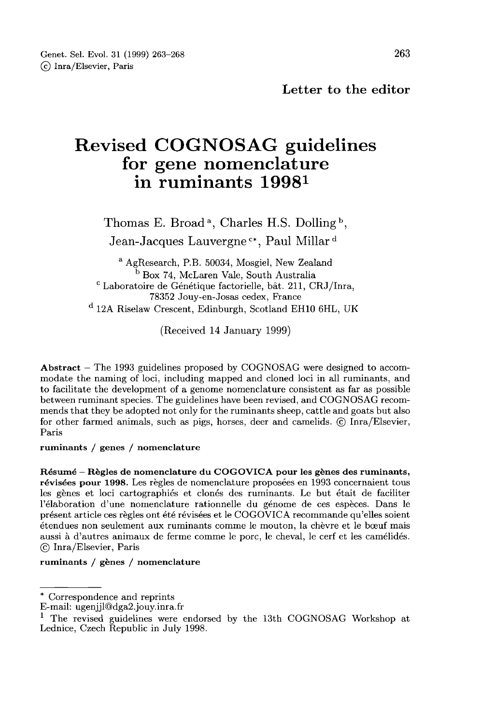Letter to the editor

# Revised COGNOSAG guidelines for gene nomenclature in ruminants 1998

in ruminants 1998<sup>1</sup><br>Thomas E. Broad<sup>®</sup>, Charles H.S. Dolling in ruminants 19981<br>Thomas E. Broad<sup>®</sup>, Charles H.S. Dollin<br>Jean-Jacques Lauvergne<sup>c\*</sup>, Paul Millar

<sup>a</sup> AgResearch, P.B. 50034, Mosgiel, New Zealand <sup>b</sup> Box 74, McLaren Vale, South Australia <br><sup>c</sup> Laboratoire de Génétique factorielle, bât. 211, CRJ/Inra, 78352 Jouy-en-Josas cedex, France <sup>d</sup> 12A Riselaw Crescent, Edinburgh, Scotland EH10 6HL, UK

(Received 14 January 1999)

Abstract – The 1993 guidelines proposed by COGNOSAG were designed to accommodate the naming of loci, including mapped and cloned loci in all ruminants, and to facilitate the development of a genome nomenclature consistent as far as possible between ruminant species. The guidelines have been revised, and COGNOSAG recommends that they be adopted not only for the ruminants sheep, cattle and goats but also for other farmed animals, such as pigs, horses, deer and camelids. © Inra/Elsevier, Paris

#### ruminants / genes / nomenclature

Résumé - Règles de nomenclature du COGOVICA pour les gènes des ruminants, révisées pour 1998. Les règles de nomenclature proposées en 1993 concernaient tous les gènes et loci cartographiés et clonés des ruminants. Le but était de faciliter l'élaboration d'une nomenclature rationnelle du génome de ces espèces. Dans le présent article ces règles ont été révisées et le COGOVICA recommande qu'elles soient étendues non seulement aux ruminants comme le mouton, la chèvre et le boeuf mais aussi à d'autres animaux de ferme comme le porc, le cheval, le cerf et les camélidés. © Inra/Elsevier, Paris l'élaboration d'une nomenclature rationnelle du génome de ces espèces. Dans le<br>présent article ces règles ont été révisées et le COGOVICA recommande qu'elles soient<br>étendues non seulement aux ruminants comme le mouton, la

#### ruminants / gènes / nomenclature

Lednice, Czech Republic in July 1998.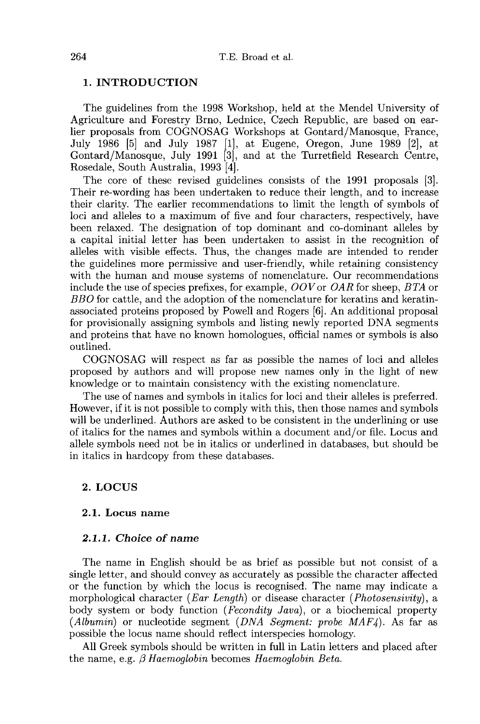# 1. INTRODUCTION

The guidelines from the 1998 Workshop, held at the Mendel University of Agriculture and Forestry Brno, Lednice, Czech Republic, are based on earlier proposals from COGNOSAG Workshops at Gontard/Manosque, France, July 1986 [5] and July 1987 [1], at Eugene, Oregon, June 1989 [2], at Gontard/Manosque, July 1991 [3], and at the Turretfield Research Centre, Rosedale, South Australia, 1993 (4!.

The core of these revised guidelines consists of the 1991 proposals [3]. Their re-wording has been undertaken to reduce their length, and to increase their clarity. The earlier recommendations to limit the length of symbols of loci and alleles to a maximum of five and four characters, respectively, have been relaxed. The designation of top dominant and co-dominant alleles by a capital initial letter has been undertaken to assist in the recognition of alleles with visible effects. Thus, the changes made are intended to render the guidelines more permissive and user-friendly, while retaining consistency with the human and mouse systems of nomenclature. Our recommendations include the use of species prefixes, for example,  $OOV$  or  $OAR$  for sheep,  $BTA$  or BBO for cattle, and the adoption of the nomenclature for keratins and keratinassociated proteins proposed by Powell and Rogers (6!. An additional proposal for provisionally assigning symbols and listing newly reported DNA segments and proteins that have no known homologues, official names or symbols is also outlined.

COGNOSAG will respect as far as possible the names of loci and alleles proposed by authors and will propose new names only in the light of new knowledge or to maintain consistency with the existing nomenclature.

The use of names and symbols in italics for loci and their alleles is preferred. However, if it is not possible to comply with this, then those names and symbols will be underlined. Authors are asked to be consistent in the underlining or use of italics for the names and symbols within a document and/or file. Locus and allele symbols need not be in italics or underlined in databases, but should be in italics in hardcopy from these databases.

## 2. LOCUS

## 2.1. Locus name

#### 2.1.1. Choice of name

The name in English should be as brief as possible but not consist of a single letter, and should convey as accurately as possible the character affected or the function by which the locus is recognised. The name may indicate a morphological character (*Ear Length*) or disease character (*Photosensivity*), a body system or body function (Fecondity Java), or a biochemical property (Albumin) or nucleotide segment (DNA Segment: probe MAF4). As far as possible the locus name should reflect interspecies homology.

All Greek symbols should be written in full in Latin letters and placed after the name, e.g.  $\beta$  Haemoglobin becomes Haemoglobin Beta.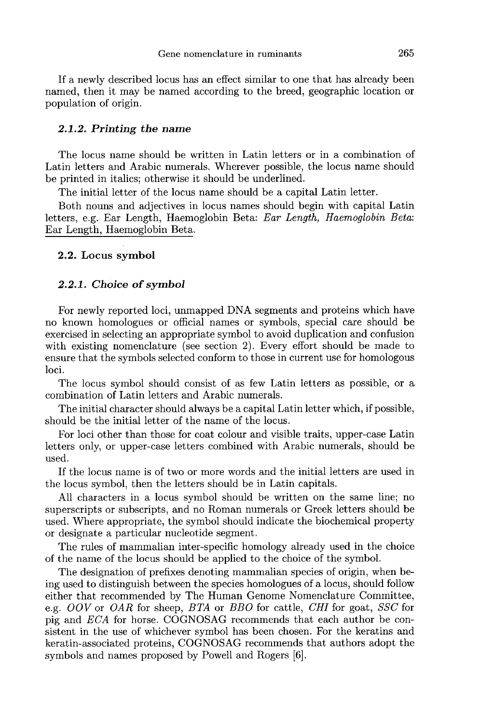If a newly described locus has an effect similar to one that has already been named, then it may be named according to the breed, geographic location or population of origin.

## 2.1.2. Printing the name

The locus name should be written in Latin letters or in a combination of Latin letters and Arabic numerals. Wherever possible, the locus name should be printed in italics; otherwise it should be underlined.

The initial letter of the locus name should be a capital Latin letter.

Both nouns and adjectives in locus names should begin with capital Latin letters, e.g. Ear Length, Haemoglobin Beta: Ear Length, Haemoglobin Beta: Ear Length, Haemoglobin Beta.

# 2.2. Locus symbol

# 2.2.1. Choice of symbol

For newly reported loci, unmapped DNA segments and proteins which have no known homologues or official names or symbols, special care should be exercised in selecting an appropriate symbol to avoid duplication and confusion with existing nomenclature (see section 2). Every effort should be made to ensure that the symbols selected conform to those in current use for homologous loci.

The locus symbol should consist of as few Latin letters as possible, or a combination of Latin letters and Arabic numerals.

The initial character should always be a capital Latin letter which, if possible, should be the initial letter of the name of the locus.

For loci other than those for coat colour and visible traits, upper-case Latin letters only, or upper-case letters combined with Arabic numerals, should be used.

If the locus name is of two or more words and the initial letters are used in the locus symbol, then the letters should be in Latin capitals.

All characters in a locus symbol should be written on the same line; no superscripts or subscripts, and no Roman numerals or Greek letters should be used. Where appropriate, the symbol should indicate the biochemical property or designate a particular nucleotide segment.

The rules of mammalian inter-specific homology already used in the choice of the name of the locus should be applied to the choice of the symbol.

The designation of prefixes denoting mammalian species of origin, when being used to distinguish between the species homologues of a locus, should follow either that recommended by The Human Genome Nomenclature Committee, e.g. OOV or OAR for sheep, BTA or BBO for cattle, CHI for goat, SSC for pig and ECA for horse. COGNOSAG recommends that each author be consistent in the use of whichever symbol has been chosen. For the keratins and keratin-associated proteins, COGNOSAG recommends that authors adopt the symbols and names proposed by Powell and Rogers [6].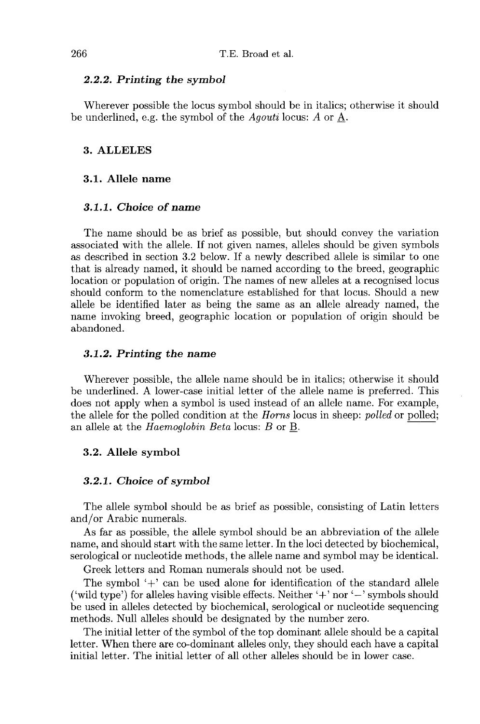## 2.2.2. Printing the symbol

Wherever possible the locus symbol should be in italics; otherwise it should be underlined, e.g. the symbol of the Agouti locus: A or A.

# 3. ALLELES

## 3.1. Allele name

#### 3.1.1. Choice of name

The name should be as brief as possible, but should convey the variation associated with the allele. If not given names, alleles should be given symbols as described in section 3.2 below. If a newly described allele is similar to one that is already named, it should be named according to the breed, geographic location or population of origin. The names of new alleles at a recognised locus should conform to the nomenclature established for that locus. Should a new allele be identified later as being the same as an allele already named, the name invoking breed, geographic location or population of origin should be abandoned.

## 3.1.2. Printing the name

Wherever possible, the allele name should be in italics; otherwise it should be underlined. A lower-case initial letter of the allele name is preferred. This does not apply when a symbol is used instead of an allele name. For example, be underlined. A lower-case initial letter of the allele name is preferred. This does not apply when a symbol is used instead of an allele name. For example, the allele for the polled condition at the *Horns* locus: B or

## 3.2. Allele symbol

## 3.2.1. Choice of symbol

The allele symbol should be as brief as possible, consisting of Latin letters and/or Arabic numerals.

As far as possible, the allele symbol should be an abbreviation of the allele name, and should start with the same letter. In the loci detected by biochemical, serological or nucleotide methods, the allele name and symbol may be identical.

Greek letters and Roman numerals should not be used.

The symbol  $+$  can be used alone for identification of the standard allele ('wild type') for alleles having visible effects. Neither '+' nor ' $-$ ' symbols should be used in alleles detected by biochemical, serological or nucleotide sequencing methods. Null alleles should be designated by the number zero.

The initial letter of the symbol of the top dominant allele should be a capital letter. When there are co-dominant alleles only, they should each have a capital initial letter. The initial letter of all other alleles should be in lower case.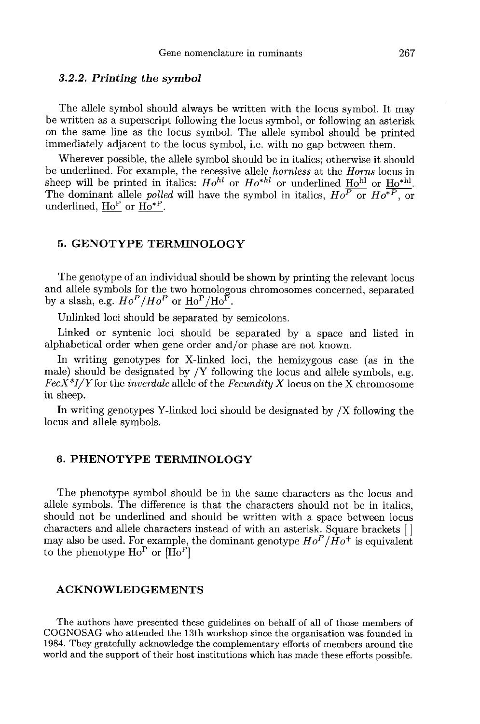#### 3.2.2. Printing the symbol

The allele symbol should always be written with the locus symbol. It may be written as a superscript following the locus symbol, or following an asterisk on the same line as the locus symbol. The allele symbol should be printed immediately adjacent to the locus symbol, i.e. with no gap between them.

Wherever possible, the allele symbol should be in italics; otherwise it should be underlined. For example, the recessive allele *hornless* at the *Horns* locus in sheep will be printed in italics:  $Ho^{hl}$  or  $Ho^{*hl}$  or underlined  $Hol^{hl}$  or  $Ho^{*hl}$ . The dominant allele *polled* will have the symbol in The dominant allele *polled* will have the symbol in italics,  $Ho^P$  or  $Ho^{\ast P}$ , or underlined,  $Ho^P$  or  $Ho^{\ast P}$ .

#### 5. GENOTYPE TERMINOLOGY

The genotype of an individual should be shown by printing the relevant locus and allele symbols for the two homologous chromosomes concerned, separated by a slash, e.g. **YPE TERMINOLOG**<br>e of an individual should<br>ols for the two homology<br> $Ho^P/Ho^P$  or  $\underline{Ho^P/Ho^P}$ .<br>i should be separated by

Unlinked loci should be separated by semicolons.

Linked or syntenic loci should be separated by a space and listed in alphabetical order when gene order and/or phase are not known.

In writing genotypes for X-linked loci, the hemizygous case (as in the male) should be designated by /Y following the locus and allele symbols, e.g.  $FacX*I/Y$  for the *inverdale* allele of the *Fecundity X* locus on the X chromosome in sheep.

In writing genotypes Y-linked loci should be designated by /X following the locus and allele symbols.

# 6. PHENOTYPE TERMINOLOGY

The phenotype symbol should be in the same characters as the locus and allele symbols. The difference is that the characters should not be in italics, should not be underlined and should be written with a space between locus characters and allele characters instead of with an asterisk. Square brackets [ ] The phenotype symbol should be in the same characters as the locus and allele symbols. The difference is that the characters should not be in italics, should not be underlined and should be written with a space between lo may also be used. For example, the dominant genotype  $Ho^P/\tilde{H}o^+$  is equivalent to the phenotype  $Ho^P$  or  $[Ho^P]$ 

#### ACKNOWLEDGEMENTS

The authors have presented these guidelines on behalf of all of those members of COGNOSAG who attended the 13th workshop since the organisation was founded in 1984. They gratefully acknowledge the complementary efforts of members around the world and the support of their host institutions which has made these efforts possible.